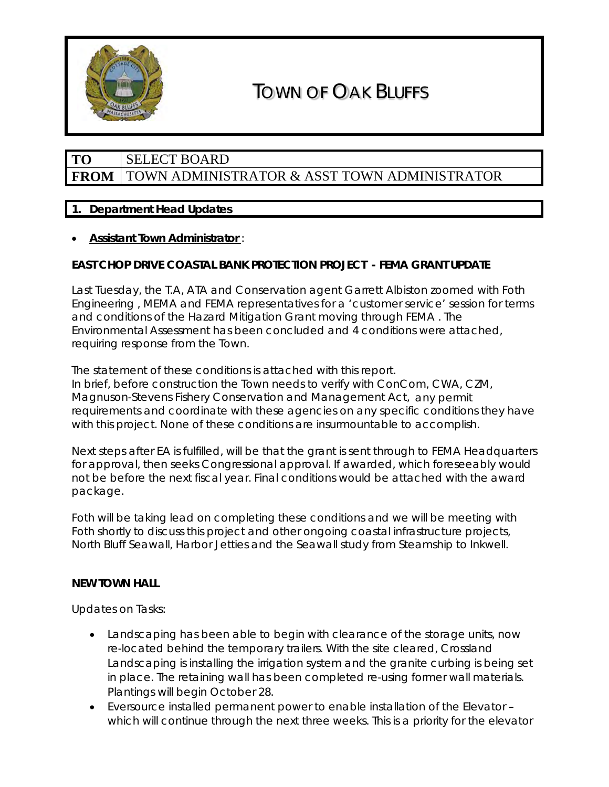

# TOWN OF OAK BLUFFS

# **TO** SELECT BOARD **FROM** TOWN ADMINISTRATOR & ASST TOWN ADMINISTRATOR

# **1. Department Head Updates**

# • *Assistant Town Administrator* :

# **EAST CHOP DRIVE COASTAL BANK PROTECTION PROJECT - FEMA GRANT UPDATE**

Last Tuesday, the T.A, ATA and Conservation agent Garrett Albiston zoomed with Foth Engineering , MEMA and FEMA representatives for a 'customer service' session for terms and conditions of the Hazard Mitigation Grant moving through FEMA . The Environmental Assessment has been concluded and 4 conditions were attached, requiring response from the Town.

The statement of these conditions is attached with this report. In brief, before construction the Town needs to verify with ConCom, CWA, CZM, Magnuson-Stevens Fishery Conservation and Management Act, any permit requirements and coordinate with these agencies on any specific conditions they have with this project. None of these conditions are insurmountable to accomplish.

Next steps after EA is fulfilled, will be that the grant is sent through to FEMA Headquarters for approval, then seeks Congressional approval. If awarded, which foreseeably would not be before the next fiscal year. Final conditions would be attached with the award package.

Foth will be taking lead on completing these conditions and we will be meeting with Foth shortly to discuss this project and other ongoing coastal infrastructure projects, North Bluff Seawall, Harbor Jetties and the Seawall study from Steamship to Inkwell.

### **NEW TOWN HALL**

Updates on Tasks:

- Landscaping has been able to begin with clearance of the storage units, now re-located behind the temporary trailers. With the site cleared, Crossland Landscaping is installing the irrigation system and the granite curbing is being set in place. The retaining wall has been completed re-using former wall materials. Plantings will begin October 28.
- Eversource installed permanent power to enable installation of the Elevator which will continue through the next three weeks. This is a priority for the elevator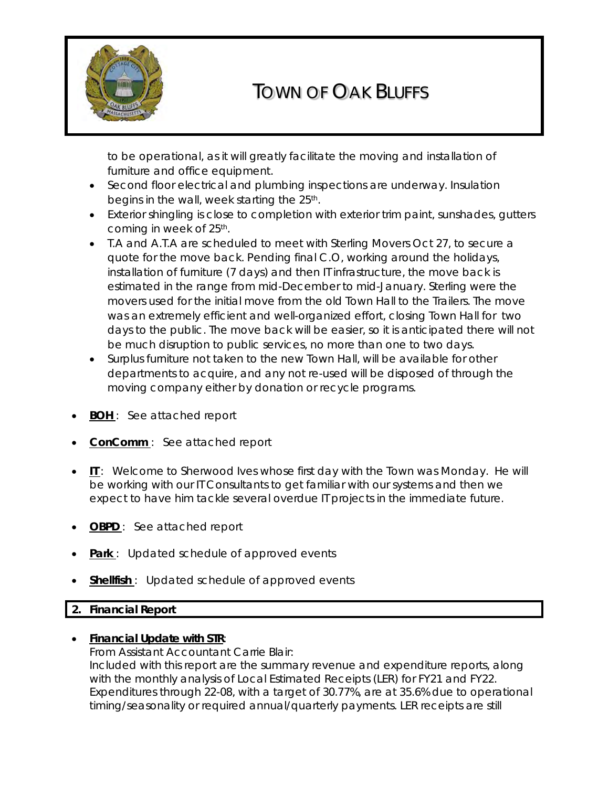

# TOWN OF OAK BLUFFS

to be operational, as it will greatly facilitate the moving and installation of furniture and office equipment.

- Second floor electrical and plumbing inspections are underway. Insulation begins in the wall, week starting the 25<sup>th</sup>.
- Exterior shingling is close to completion with exterior trim paint, sunshades, gutters coming in week of 25<sup>th</sup>.
- T.A and A.T.A are scheduled to meet with Sterling Movers Oct 27, to secure a quote for the move back. Pending final C.O, working around the holidays, installation of furniture (7 days) and then IT infrastructure, the move back is estimated in the range from mid-December to mid-January. Sterling were the movers used for the initial move from the old Town Hall to the Trailers. The move was an extremely efficient and well-organized effort, closing Town Hall for two days to the public. The move back will be easier, so it is anticipated there will not be much disruption to public services, no more than one to two days.
- Surplus furniture not taken to the new Town Hall, will be available for other departments to acquire, and any not re-used will be disposed of through the moving company either by donation or recycle programs.
- **BOH**: See attached report
- **ConComm**: See attached report
- *IT* : Welcome to Sherwood Ives whose first day with the Town was Monday. He will be working with our IT Consultants to get familiar with our systems and then we expect to have him tackle several overdue IT projects in the immediate future.
- **OBPD**: See attached report
- **Park**: Updated schedule of approved events
- **Shellfish**: Updated schedule of approved events

# **2. Financial Report**

# • *Financial Update with STR*:

From Assistant Accountant Carrie Blair: Included with this report are the summary revenue and expenditure reports, along with the monthly analysis of Local Estimated Receipts (LER) for FY21 and FY22. Expenditures through 22-08, with a target of 30.77%, are at 35.6% due to operational timing/seasonality or required annual/quarterly payments. LER receipts are still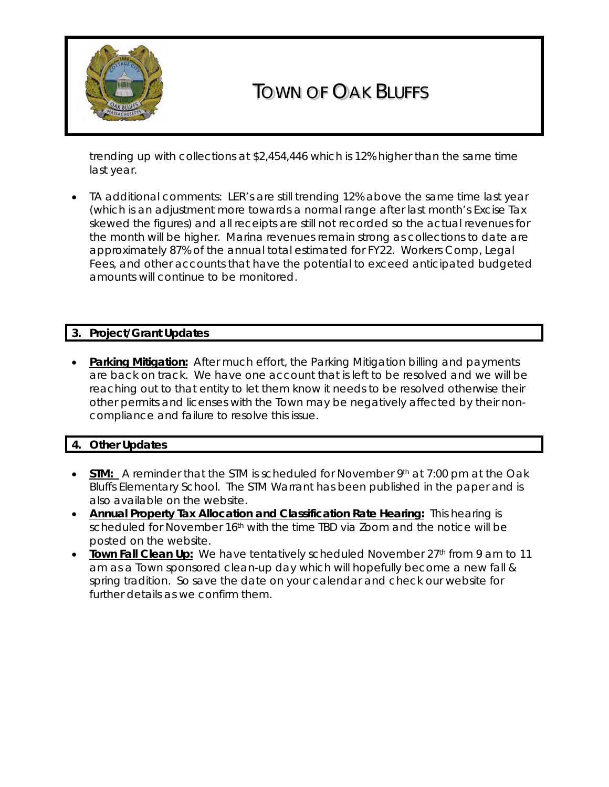

# TOWN OF OAK BLUFFS

trending up with collections at \$2,454,446 which is 12% higher than the same time last year.

• TA additional comments: LER's are still trending 12% above the same time last year (which is an adjustment more towards a normal range after last month's Excise Tax skewed the figures) and all receipts are still not recorded so the actual revenues for the month will be higher. Marina revenues remain strong as collections to date are approximately 87% of the annual total estimated for FY22. Workers Comp, Legal Fees, and other accounts that have the potential to exceed anticipated budgeted amounts will continue to be monitored.

### **3. Project/Grant Updates**

• *Parking Mitigation:* After much effort, the Parking Mitigation billing and payments are back on track. We have one account that is left to be resolved and we will be reaching out to that entity to let them know it needs to be resolved otherwise their other permits and licenses with the Town may be negatively affected by their noncompliance and failure to resolve this issue.

### **4. Other Updates**

- **STM:** A reminder that the STM is scheduled for November 9<sup>th</sup> at 7:00 pm at the Oak Bluffs Elementary School. The STM Warrant has been published in the paper and is also available on the website.
- *Annual Property Tax Allocation and Classification Rate Hearing:* This hearing is scheduled for November 16<sup>th</sup> with the time TBD via Zoom and the notice will be posted on the website.
- **Town Fall Clean Up:** We have tentatively scheduled November 27<sup>th</sup> from 9 am to 11 am as a Town sponsored clean-up day which will hopefully become a new fall & spring tradition. So save the date on your calendar and check our website for further details as we confirm them.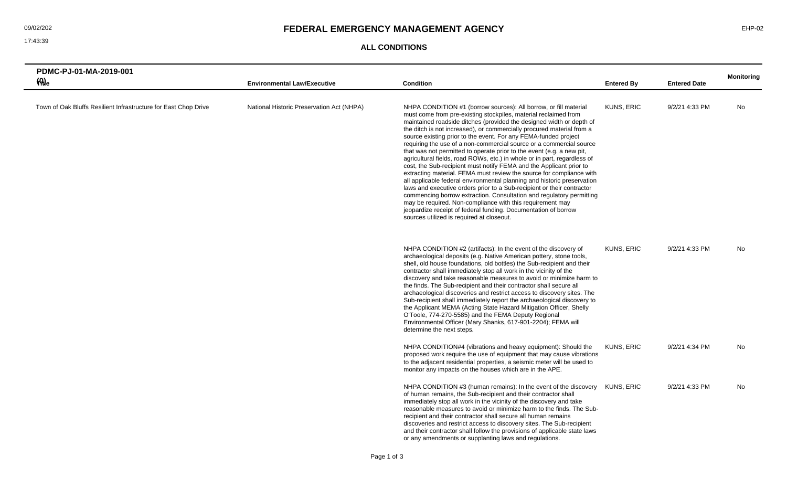### **ALL CONDITIONS**

|          | PDMC-PJ-01-MA-2019-001                                          |                                           |                                                                                                                                                                                                                                                                                                                                                                                                                                                                                                                                                                                                                                                                                                                                                                                                                                                                                                                                                                                                                                                                                                                                             |                   |                     |                   |
|----------|-----------------------------------------------------------------|-------------------------------------------|---------------------------------------------------------------------------------------------------------------------------------------------------------------------------------------------------------------------------------------------------------------------------------------------------------------------------------------------------------------------------------------------------------------------------------------------------------------------------------------------------------------------------------------------------------------------------------------------------------------------------------------------------------------------------------------------------------------------------------------------------------------------------------------------------------------------------------------------------------------------------------------------------------------------------------------------------------------------------------------------------------------------------------------------------------------------------------------------------------------------------------------------|-------------------|---------------------|-------------------|
| $\Theta$ |                                                                 | <b>Environmental Law/Executive</b>        | <b>Condition</b>                                                                                                                                                                                                                                                                                                                                                                                                                                                                                                                                                                                                                                                                                                                                                                                                                                                                                                                                                                                                                                                                                                                            | <b>Entered By</b> | <b>Entered Date</b> | <b>Monitoring</b> |
|          | Town of Oak Bluffs Resilient Infrastructure for East Chop Drive | National Historic Preservation Act (NHPA) | NHPA CONDITION #1 (borrow sources): All borrow, or fill material<br>must come from pre-existing stockpiles, material reclaimed from<br>maintained roadside ditches (provided the designed width or depth of<br>the ditch is not increased), or commercially procured material from a<br>source existing prior to the event. For any FEMA-funded project<br>requiring the use of a non-commercial source or a commercial source<br>that was not permitted to operate prior to the event (e.g. a new pit,<br>agricultural fields, road ROWs, etc.) in whole or in part, regardless of<br>cost, the Sub-recipient must notify FEMA and the Applicant prior to<br>extracting material. FEMA must review the source for compliance with<br>all applicable federal environmental planning and historic preservation<br>laws and executive orders prior to a Sub-recipient or their contractor<br>commencing borrow extraction. Consultation and regulatory permitting<br>may be required. Non-compliance with this requirement may<br>jeopardize receipt of federal funding. Documentation of borrow<br>sources utilized is required at closeout. | KUNS, ERIC        | 9/2/21 4:33 PM      | No                |
|          |                                                                 |                                           | NHPA CONDITION #2 (artifacts): In the event of the discovery of<br>archaeological deposits (e.g. Native American pottery, stone tools,<br>shell, old house foundations, old bottles) the Sub-recipient and their<br>contractor shall immediately stop all work in the vicinity of the<br>discovery and take reasonable measures to avoid or minimize harm to<br>the finds. The Sub-recipient and their contractor shall secure all<br>archaeological discoveries and restrict access to discovery sites. The<br>Sub-recipient shall immediately report the archaeological discovery to<br>the Applicant MEMA (Acting State Hazard Mitigation Officer, Shelly<br>O'Toole, 774-270-5585) and the FEMA Deputy Regional<br>Environmental Officer (Mary Shanks, 617-901-2204); FEMA will<br>determine the next steps.                                                                                                                                                                                                                                                                                                                            | KUNS, ERIC        | 9/2/21 4:33 PM      | No                |
|          |                                                                 |                                           | NHPA CONDITION#4 (vibrations and heavy equipment): Should the<br>proposed work require the use of equipment that may cause vibrations<br>to the adjacent residential properties, a seismic meter will be used to<br>monitor any impacts on the houses which are in the APE.                                                                                                                                                                                                                                                                                                                                                                                                                                                                                                                                                                                                                                                                                                                                                                                                                                                                 | KUNS, ERIC        | 9/2/21 4:34 PM      | <b>No</b>         |
|          |                                                                 |                                           | NHPA CONDITION #3 (human remains): In the event of the discovery KUNS, ERIC<br>of human remains, the Sub-recipient and their contractor shall<br>immediately stop all work in the vicinity of the discovery and take<br>reasonable measures to avoid or minimize harm to the finds. The Sub-<br>recipient and their contractor shall secure all human remains<br>discoveries and restrict access to discovery sites. The Sub-recipient<br>and their contractor shall follow the provisions of applicable state laws<br>or any amendments or supplanting laws and regulations.                                                                                                                                                                                                                                                                                                                                                                                                                                                                                                                                                               |                   | 9/2/21 4:33 PM      | <b>No</b>         |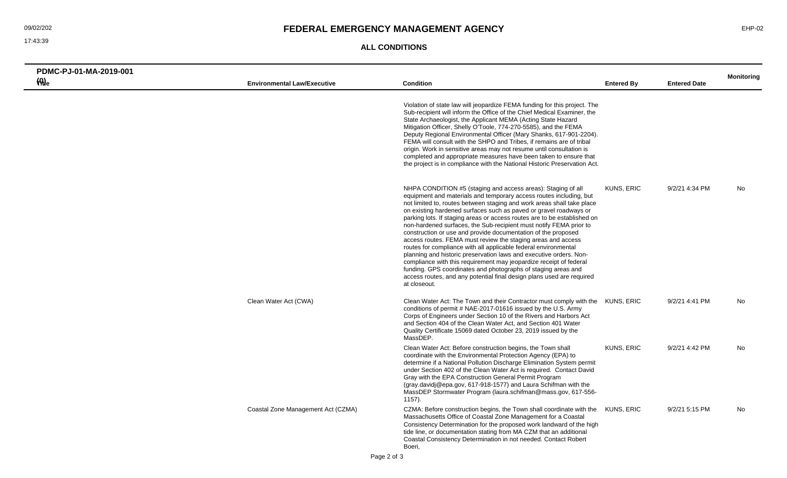### O9/02/202 **FEDERAL EMERGENCY MANAGEMENT AGENCY EXECUTED A SERIEM RESERVENT AGENCY**

**ALL CONDITIONS**

| PDMC-PJ-01-MA-2019-001      |                                    |                                                                                                                                                                                                                                                                                                                                                                                                                                                                                                                                                                                                                                                                                                                                                                                                                                                                                                                                               |                   |                     | <b>Monitoring</b> |
|-----------------------------|------------------------------------|-----------------------------------------------------------------------------------------------------------------------------------------------------------------------------------------------------------------------------------------------------------------------------------------------------------------------------------------------------------------------------------------------------------------------------------------------------------------------------------------------------------------------------------------------------------------------------------------------------------------------------------------------------------------------------------------------------------------------------------------------------------------------------------------------------------------------------------------------------------------------------------------------------------------------------------------------|-------------------|---------------------|-------------------|
| $\mathcal{P}_{\text{H}}(q)$ | <b>Environmental Law/Executive</b> | <b>Condition</b>                                                                                                                                                                                                                                                                                                                                                                                                                                                                                                                                                                                                                                                                                                                                                                                                                                                                                                                              | <b>Entered By</b> | <b>Entered Date</b> |                   |
|                             |                                    | Violation of state law will jeopardize FEMA funding for this project. The<br>Sub-recipient will inform the Office of the Chief Medical Examiner, the<br>State Archaeologist, the Applicant MEMA (Acting State Hazard<br>Mitigation Officer, Shelly O'Toole, 774-270-5585), and the FEMA<br>Deputy Regional Environmental Officer (Mary Shanks, 617-901-2204).<br>FEMA will consult with the SHPO and Tribes, if remains are of tribal<br>origin. Work in sensitive areas may not resume until consultation is<br>completed and appropriate measures have been taken to ensure that<br>the project is in compliance with the National Historic Preservation Act.                                                                                                                                                                                                                                                                               |                   |                     |                   |
|                             |                                    | NHPA CONDITION #5 (staging and access areas): Staging of all<br>equipment and materials and temporary access routes including, but<br>not limited to, routes between staging and work areas shall take place<br>on existing hardened surfaces such as paved or gravel roadways or<br>parking lots. If staging areas or access routes are to be established on<br>non-hardened surfaces, the Sub-recipient must notify FEMA prior to<br>construction or use and provide documentation of the proposed<br>access routes. FEMA must review the staging areas and access<br>routes for compliance with all applicable federal environmental<br>planning and historic preservation laws and executive orders. Non-<br>compliance with this requirement may jeopardize receipt of federal<br>funding. GPS coordinates and photographs of staging areas and<br>access routes, and any potential final design plans used are required<br>at closeout. | KUNS, ERIC        | 9/2/21 4:34 PM      | No                |
|                             | Clean Water Act (CWA)              | Clean Water Act: The Town and their Contractor must comply with the KUNS, ERIC<br>conditions of permit # NAE-2017-01616 issued by the U.S. Army<br>Corps of Engineers under Section 10 of the Rivers and Harbors Act<br>and Section 404 of the Clean Water Act, and Section 401 Water<br>Quality Certificate 15069 dated October 23, 2019 issued by the<br>MassDEP.                                                                                                                                                                                                                                                                                                                                                                                                                                                                                                                                                                           |                   | 9/2/21 4:41 PM      | No                |
|                             |                                    | Clean Water Act: Before construction begins, the Town shall<br>coordinate with the Environmental Protection Agency (EPA) to<br>determine if a National Pollution Discharge Elimination System permit<br>under Section 402 of the Clean Water Act is required. Contact David<br>Gray with the EPA Construction General Permit Program<br>(gray.davidj@epa.gov, 617-918-1577) and Laura Schifman with the<br>MassDEP Stormwater Program (laura.schifman@mass.gov, 617-556-<br>$1157$ ).                                                                                                                                                                                                                                                                                                                                                                                                                                                         | <b>KUNS, ERIC</b> | 9/2/21 4:42 PM      | <b>No</b>         |
|                             | Coastal Zone Management Act (CZMA) | CZMA: Before construction begins, the Town shall coordinate with the KUNS, ERIC<br>Massachusetts Office of Coastal Zone Management for a Coastal<br>Consistency Determination for the proposed work landward of the high<br>tide line, or documentation stating from MA CZM that an additional<br>Coastal Consistency Determination in not needed. Contact Robert<br>Boeri,                                                                                                                                                                                                                                                                                                                                                                                                                                                                                                                                                                   |                   | 9/2/21 5:15 PM      | No                |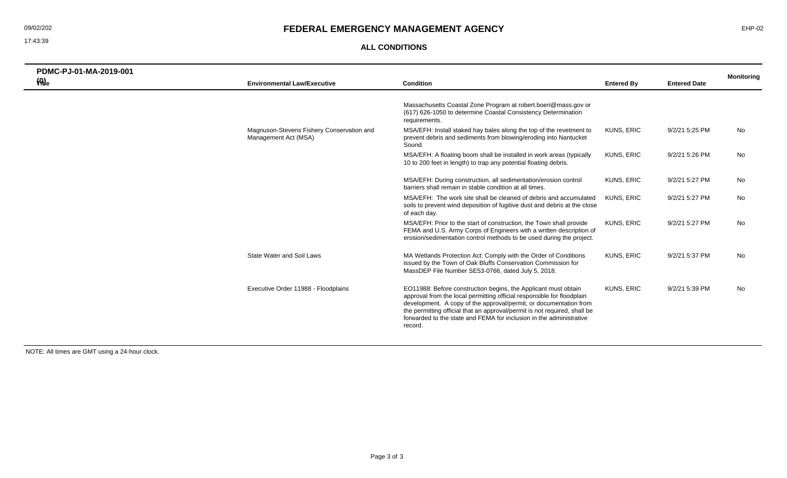## 09/02/202 **FEDERAL EMERGENCY MANAGEMENT AGENCY** EHP-02

### **ALL CONDITIONS**

| PDMC-PJ-01-MA-2019-001<br>$\mathcal{H}_{\text{He}}$ | <b>Environmental Law/Executive</b>                                | <b>Condition</b>                                                                                                                                                                                                                                                                                                                                                             | <b>Entered By</b> | <b>Entered Date</b> | <b>Monitoring</b> |
|-----------------------------------------------------|-------------------------------------------------------------------|------------------------------------------------------------------------------------------------------------------------------------------------------------------------------------------------------------------------------------------------------------------------------------------------------------------------------------------------------------------------------|-------------------|---------------------|-------------------|
|                                                     |                                                                   | Massachusetts Coastal Zone Program at robert.boeri@mass.gov or<br>(617) 626-1050 to determine Coastal Consistency Determination<br>requirements.                                                                                                                                                                                                                             |                   |                     |                   |
|                                                     | Magnuson-Stevens Fishery Conservation and<br>Management Act (MSA) | MSA/EFH: Install staked hay bales along the top of the revetment to<br>prevent debris and sediments from blowing/eroding into Nantucket<br>Sound.                                                                                                                                                                                                                            | <b>KUNS, ERIC</b> | 9/2/21 5:25 PM      | No                |
|                                                     |                                                                   | MSA/EFH: A floating boom shall be installed in work areas (typically<br>10 to 200 feet in length) to trap any potential floating debris.                                                                                                                                                                                                                                     | <b>KUNS, ERIC</b> | 9/2/21 5:26 PM      | No                |
|                                                     |                                                                   | MSA/EFH: During construction, all sedimentation/erosion control<br>barriers shall remain in stable condition at all times.                                                                                                                                                                                                                                                   | <b>KUNS, ERIC</b> | 9/2/21 5:27 PM      | No                |
|                                                     |                                                                   | MSA/EFH: The work site shall be cleaned of debris and accumulated<br>soils to prevent wind deposition of fugitive dust and debris at the close<br>of each day.                                                                                                                                                                                                               | KUNS, ERIC        | 9/2/21 5:27 PM      | <b>No</b>         |
|                                                     |                                                                   | MSA/EFH: Prior to the start of construction, the Town shall provide<br>FEMA and U.S. Army Corps of Engineers with a written description of<br>erosion/sedimentation control methods to be used during the project.                                                                                                                                                           | <b>KUNS, ERIC</b> | 9/2/21 5:27 PM      | No                |
|                                                     | <b>State Water and Soil Laws</b>                                  | MA Wetlands Protection Act: Comply with the Order of Conditions<br>issued by the Town of Oak Bluffs Conservation Commission for<br>MassDEP File Number SE53-0766, dated July 5, 2018.                                                                                                                                                                                        | <b>KUNS, ERIC</b> | 9/2/21 5:37 PM      | No                |
|                                                     | Executive Order 11988 - Floodplains                               | EO11988: Before construction begins, the Applicant must obtain<br>approval from the local permitting official responsible for floodplain<br>development. A copy of the approval/permit, or documentation from<br>the permitting official that an approval/permit is not required, shall be<br>forwarded to the state and FEMA for inclusion in the administrative<br>record. | <b>KUNS, ERIC</b> | 9/2/21 5:39 PM      | No                |

NOTE: All times are GMT using a 24-hour clock.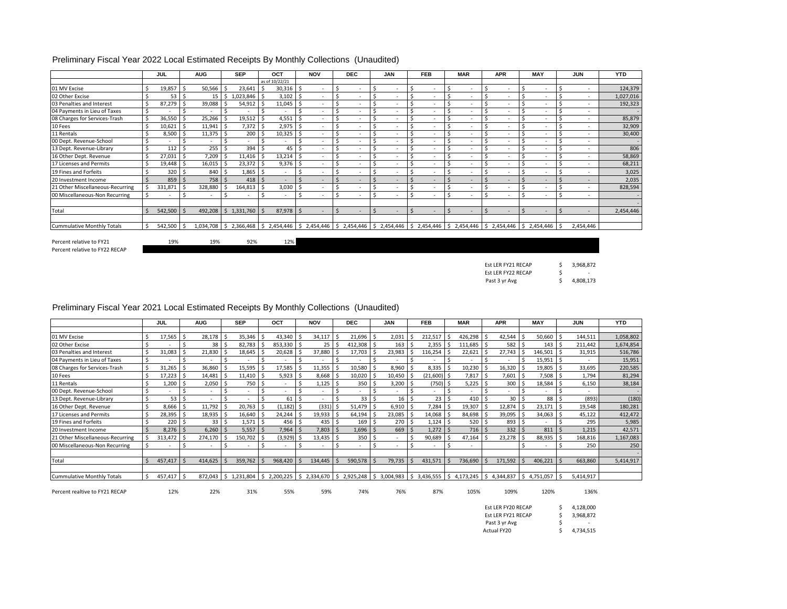|                                   | JUL     | <b>AUG</b> | <b>SEP</b>              | OCT            |       | <b>NOV</b>               | <b>DEC</b> | <b>JAN</b> | <b>FEB</b>                                                                                                                                                           | <b>MAR</b> | <b>APR</b> | <b>MAY</b>               | <b>JUN</b> | <b>YTD</b> |
|-----------------------------------|---------|------------|-------------------------|----------------|-------|--------------------------|------------|------------|----------------------------------------------------------------------------------------------------------------------------------------------------------------------|------------|------------|--------------------------|------------|------------|
|                                   |         |            |                         | as of 10/22/21 |       |                          |            |            |                                                                                                                                                                      |            |            |                          |            |            |
| 01 MV Excise                      | 19,857  | 50,566     | 23,641                  | 30,316         | ΙŚ.   |                          |            |            | ٠                                                                                                                                                                    |            |            |                          |            | 124,379    |
| 02 Other Excise                   | 53      | 15         | 1,023,846               | 3,102<br>-Ś    |       | $\overline{\phantom{a}}$ |            | ٠          |                                                                                                                                                                      |            |            | $\sim$                   | $\sim$     | 1,027,016  |
| 03 Penalties and Interest         | 87,279  | 39,088     | 54,912                  | 11,045         | ه ا   |                          |            |            |                                                                                                                                                                      |            |            |                          | $\sim$     | 192,323    |
| 04 Payments in Lieu of Taxes      |         |            |                         |                |       | $\sim$                   |            |            |                                                                                                                                                                      |            |            | $\sim$                   | $\sim$     |            |
| 08 Charges for Services-Trash     | 36,550  | 25,266     | 19,512                  | 4,551          |       |                          |            |            | ٠                                                                                                                                                                    |            |            |                          | ٠          | 85,879     |
| 10 Fees                           | 10,621  | 11,941     | 7,372                   | 2,975<br>-5    | ه ا   |                          |            |            | $\sim$                                                                                                                                                               |            |            | $\sim$                   | ٠          | 32,909     |
| 11 Rentals                        | 8,500   | 11,375     | 200                     | 10,325         |       | -S                       |            |            | ٠                                                                                                                                                                    |            |            |                          | ٠          | 30,400     |
| 00 Dept. Revenue-School           |         |            |                         |                |       |                          |            |            | ٠                                                                                                                                                                    |            |            |                          | ٠          |            |
| 13 Dept. Revenue-Library          | 112     | 255        | 394                     |                | 45    | $\overline{\phantom{a}}$ |            |            | ٠                                                                                                                                                                    |            |            |                          | ٠          | 806        |
| 16 Other Dept. Revenue            | 27,031  | 7,209      | 11,416                  | 13,214<br>-5   | . I S |                          |            |            |                                                                                                                                                                      |            |            |                          |            | 58,869     |
| 17 Licenses and Permits           | 19,448  | 16,015     | 23,372                  | 9,376<br>-5    |       |                          |            |            | ٠                                                                                                                                                                    |            |            |                          |            | 68,211     |
| 19 Fines and Forfeits             | 320     | 840        | 1,865                   |                |       |                          |            |            | ٠                                                                                                                                                                    |            |            |                          | ٠          | 3,025      |
| 20 Investment Income              | 859     | 758        | 418                     | S,             |       | $\overline{a}$           |            |            | $\sim$                                                                                                                                                               |            |            |                          |            | 2,035      |
| 21 Other Miscellaneous-Recurring  | 331,871 | 328,880    | 164,813                 | 3,030<br>-S    |       | -S                       |            |            | ٠                                                                                                                                                                    |            |            | $\overline{\phantom{a}}$ | ٠          | 828,594    |
| 00 Miscellaneous-Non Recurring    |         | ٠          |                         |                |       |                          |            |            | ٠                                                                                                                                                                    |            |            |                          | ٠          |            |
|                                   |         |            |                         |                |       |                          |            |            |                                                                                                                                                                      |            |            |                          |            |            |
| Total                             | 542,500 | 492,208    | \$<br>1,331,760         | 87,978         |       | $\overline{\phantom{a}}$ |            | ٠          | $\sim$                                                                                                                                                               |            |            | $\sim$                   |            | 2,454,446  |
|                                   |         |            |                         |                |       |                          |            |            |                                                                                                                                                                      |            |            |                          |            |            |
| <b>Cummulative Monthly Totals</b> | 542,500 | -S         | 1,034,708   \$2,366,468 |                |       |                          |            |            | $\binom{5}{5}$ 2,454,446 $\binom{5}{5}$ 2,454,446 $\binom{5}{5}$ 2,454,446 $\binom{5}{5}$ 2,454,446 $\binom{5}{5}$ 2,454,446 $\binom{5}{5}$ 2,454,446 $\binom{5}{5}$ |            |            | \$2,454,446              | 2,454,446  |            |

### Preliminary Fiscal Year 2022 Local Estimated Receipts By Monthly Collections (Unaudited)

Percent relative to FY22 RECAP

Percent relative to FY21  $19\%$   $19\%$   $92\%$   $12\%$ 

| <b>Fst LFR FY21 RFCAP</b> |   | 3,968,872                |
|---------------------------|---|--------------------------|
| <b>Fst LFR FY22 RFCAP</b> | S | $\overline{\phantom{a}}$ |
| Past 3 yr Avg             |   | 4,808,173                |

### Preliminary Fiscal Year 2021 Local Estimated Receipts By Monthly Collections (Unaudited)

|                                   |    | JUL     | <b>AUG</b> |     | <b>SEP</b>     |   | OCT       |      | <b>NOV</b>                    |   | <b>DEC</b>      |    | <b>JAN</b> |     | <b>FEB</b>      | <b>MAR</b>                                | <b>APR</b> |        | <b>MAY</b>    | <b>JUN</b> | <b>YTD</b> |
|-----------------------------------|----|---------|------------|-----|----------------|---|-----------|------|-------------------------------|---|-----------------|----|------------|-----|-----------------|-------------------------------------------|------------|--------|---------------|------------|------------|
|                                   |    |         |            |     |                |   |           |      |                               |   |                 |    |            |     |                 |                                           |            |        |               |            |            |
| 01 MV Excise                      |    | 17,565  | 28,178     |     | 35,346         |   | 43,340    |      | 34,117                        |   | 21,696          | Š. | 2,031      |     | 212,517         | 426,298                                   | 42,544     |        | 50,660        | 144,511    | 1,058,802  |
| 02 Other Excise                   |    |         | 38         | ιs  | 82,783         |   | 853,330   |      | $25$ $\overline{\phantom{1}}$ |   | 412,308         |    | 163        |     | 2,355           | 111,685                                   | 582        |        | $143 \mid$ \$ | 211,442    | 1,674,854  |
| 03 Penalties and Interest         |    | 31,083  | 21,830     |     | 18,645         |   | 20,628    |      | 37,880                        |   | 17,703          |    | 23,983     |     | 116,254         | 22,621                                    | 27,743     |        | 146,501       | 31,915     | 516,786    |
| 04 Payments in Lieu of Taxes      |    |         |            |     |                |   |           |      |                               |   |                 |    |            |     |                 |                                           |            |        | 15,951        | $\sim$     | 15,951     |
| 08 Charges for Services-Trash     | Ś  | 31,265  | 36,860     |     | 15,595         |   | 17,585    |      | 11,355                        |   | 10,580          |    | 8,960      |     | 8,335           | 10,230                                    | 16,320     |        | 19,805        | 33,695     | 220,585    |
| 10 Fees                           | Ś  | 17,223  | 14,481     |     | 11,410         |   | 5,923     |      | $8,668$ $\mid$ \$             |   | 10,020          |    | 10,450     |     | (21,600) \$     | 7,817                                     | 7,601      |        | 7,508         | 1,794      | 81,294     |
| 11 Rentals                        |    | 1,200   | 2,050      |     | 750            |   |           |      | 1,125                         |   | 350             |    | 3,200      |     | (750) \$        | 5,225                                     | 300        |        | 18,584        | 6,150      | 38,184     |
| 00 Dept. Revenue-School           |    |         | ٠          |     |                |   |           |      |                               |   |                 |    |            |     |                 |                                           |            |        |               | $\sim$     |            |
| 13 Dept. Revenue-Library          |    | 53      | ٠          |     |                |   | 61        |      |                               |   | 33 <sup>1</sup> |    | 16         |     | 23 <sup>1</sup> | 410                                       | 30         |        | 88            | (893)      | (180)      |
| 16 Other Dept. Revenue            |    | 8,666   | 11,792     |     | 20,763         |   | (1, 182)  |      | $(331)$ \$                    |   | 51,479          |    | 6,910      |     | $7,284$ \$      | 19,307                                    | 12,874     |        | 23,171        | 19,548     | 180,281    |
| 17 Licenses and Permits           |    | 28,395  | 18,935     |     | 16,640         |   | 24,244    |      | $19,933$ \$                   |   | 64,194          |    | 23,085     |     | 14,068 \$       | 84,698                                    | 39,095     |        | 34,063        | 45,122     | 412,472    |
| 19 Fines and Forfeits             |    | 220     | 33         | ιs  | 1,571          | S | 456       |      | $435$ S                       |   | 169             |    | 270        |     | 1,124           | 520                                       | 893        |        |               | 295        | 5,985      |
| 20 Investment Income              |    | 8,276   | 6,260      |     | 5,557          |   | 7,964     |      | 7,803                         |   | 1,696           |    | 669        |     | 1,272           | 716                                       | 332        |        | 811           | 1,215      | 42,571     |
| 21 Other Miscellaneous-Recurring  |    | 313,472 | 274,170    |     | 150,702        |   | (3,929)   |      | 13,435                        | . | 350             |    |            |     | 90,689          | 47,164                                    | 23,278     |        | 88,935        | 168,816    | 1,167,083  |
| 00 Miscellaneous-Non Recurring    |    | $\sim$  | ٠          |     | ٠              |   | $\sim$    |      |                               |   | $\sim$          |    |            |     | ٠               | $\sim$                                    |            |        |               | 250        | 250        |
|                                   |    |         |            |     |                |   |           |      |                               |   |                 |    |            |     |                 |                                           |            |        |               |            |            |
| Total                             |    | 457,417 | 414,625    |     | 359,762        |   | 968,420   |      | 134,445                       |   | 590,578         |    | 79,735     |     | 431,571         | 736,690                                   | 171,592    |        | 406,221       | 663,860    | 5,414,917  |
|                                   |    |         |            |     |                |   |           |      |                               |   |                 |    |            |     |                 |                                           |            |        |               |            |            |
| <b>Cummulative Monthly Totals</b> | -S | 457,417 | 872,043    | l S | $1,231,804$ \$ |   | 2,200,225 | l \$ | 2,334,670 \$ 2,925,248        |   |                 | -S | 3,004,983  | IS. |                 | $3,436,555$ $\mid$ \$ 4,173,245 $\mid$ \$ | 4,344,837  | ' I \$ | 4,751,057     | 5,414,917  |            |

Percent realtive to FY21 RECAP 12% 22% 31% 55% 59% 74% 76% 87% 105% 109% 120% 136%

 $\begin{array}{cc} $ \xi$ & 4,128,000 \ $ \xi$ & 3,968,872 \end{array}$ \$ 3,968,872 \$ - Actual FY20 \$ 4,734,515 Past 3 yr Avg Est LER FY20 RECAP Est LER FY21 RECAP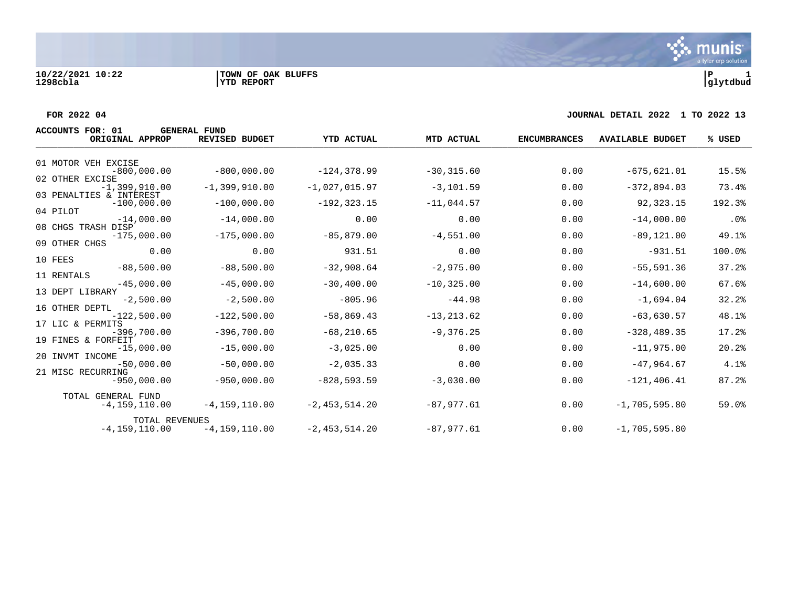### **FOR 2022 04 JOURNAL DETAIL 2022 1 TO 2022 13**

| <b>ACCOUNTS FOR: 01</b><br>ORIGINAL APPROP           | <b>GENERAL FUND</b><br><b>REVISED BUDGET</b> | <b>YTD ACTUAL</b> | MTD ACTUAL    | <b>ENCUMBRANCES</b> | <b>AVAILABLE BUDGET</b> | % USED |
|------------------------------------------------------|----------------------------------------------|-------------------|---------------|---------------------|-------------------------|--------|
| 01 MOTOR VEH EXCISE                                  |                                              |                   |               |                     |                         |        |
| $-800,000.00$                                        | $-800,000.00$                                | $-124, 378.99$    | $-30, 315.60$ | 0.00                | $-675, 621.01$          | 15.5%  |
| 02 OTHER EXCISE<br>$-1,399,910.00$                   | $-1,399,910.00$                              | $-1,027,015.97$   | $-3,101.59$   | 0.00                | $-372,894.03$           | 73.4%  |
| 03 PENALTIES & INTEREST<br>$-100,000.00$             | $-100,000.00$                                | $-192, 323.15$    | $-11,044.57$  | 0.00                | 92,323.15               | 192.3% |
| 04 PILOT<br>$-14,000.00$                             | $-14,000.00$                                 | 0.00              | 0.00          | 0.00                | $-14,000.00$            | .0%    |
| 08 CHGS TRASH DISP<br>$-175.000.00$<br>09 OTHER CHGS | $-175.000.00$                                | $-85, 879, 00$    | $-4.551.00$   | 0.00                | $-89, 121.00$           | 49.1%  |
| 0.00<br>10 FEES                                      | 0.00                                         | 931.51            | 0.00          | 0.00                | $-931.51$               | 100.0% |
| $-88,500.00$<br>11 RENTALS                           | $-88,500.00$                                 | $-32,908.64$      | $-2,975.00$   | 0.00                | $-55, 591.36$           | 37.2%  |
| $-45.000.00$                                         | $-45,000.00$                                 | $-30, 400.00$     | $-10, 325.00$ | 0.00                | $-14,600.00$            | 67.6%  |
| 13 DEPT LIBRARY<br>$-2,500.00$                       | $-2,500.00$                                  | $-805.96$         | $-44.98$      | 0.00                | $-1,694.04$             | 32.2%  |
| 16 OTHER DEPTL<br>$-122,500.00$                      | $-122,500.00$                                | $-58,869.43$      | $-13, 213.62$ | 0.00                | $-63,630.57$            | 48.1%  |
| 17 LIC & PERMITS<br>$-396,700.00$                    | $-396,700.00$                                | $-68, 210.65$     | $-9,376.25$   | 0.00                | $-328, 489.35$          | 17.2%  |
| 19 FINES & FORFEIT<br>$-15,000.00$                   | $-15,000.00$                                 | $-3,025.00$       | 0.00          | 0.00                | $-11,975.00$            | 20.2%  |
| 20 INVMT INCOME<br>$-50,000.00$                      | $-50,000.00$                                 | $-2,035.33$       | 0.00          | 0.00                | $-47,964.67$            | 4.1%   |
| 21 MISC RECURRING<br>$-950,000.00$                   | $-950,000.00$                                | $-828, 593.59$    | $-3,030.00$   | 0.00                | $-121, 406.41$          | 87.2%  |
| TOTAL GENERAL FUND<br>$-4, 159, 110.00$              | $-4, 159, 110.00$                            | $-2, 453, 514.20$ | $-87.977.61$  | 0.00                | $-1,705,595.80$         | 59.0%  |
| TOTAL REVENUES<br>$-4, 159, 110.00$                  | $-4, 159, 110.00$                            | $-2,453,514.20$   | $-87,977.61$  | 0.00                | $-1,705,595.80$         |        |

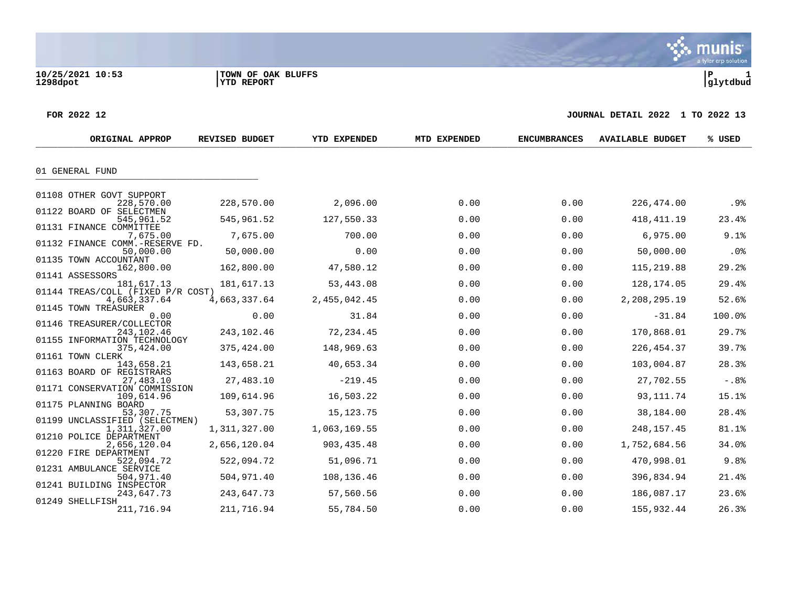a tyler erp solution

**\*** munis

### **FOR 2022 12 JOURNAL DETAIL 2022 1 TO 2022 13**

| 01 GENERAL FUND<br>01108 OTHER GOVT SUPPORT<br>2,096.00<br>0.00<br>.9%<br>228,570.00<br>228,570.00<br>0.00<br>226,474.00<br>01122 BOARD OF SELECTMEN<br>127,550.33<br>0.00<br>0.00<br>418, 411. 19<br>23.4%<br>545,961.52<br>545,961.52<br>01131 FINANCE COMMITTEE<br>7,675.00<br>700.00<br>0.00<br>0.00<br>6,975.00<br>9.1%<br>7,675.00<br>01132 FINANCE COMM.-RESERVE FD.<br>0.00<br>0.00<br>50,000.00<br>.0%<br>50,000.00<br>0.00<br>50,000.00<br>01135 TOWN ACCOUNTANT<br>0.00<br>0.00<br>29.2%<br>162,800.00<br>162,800.00<br>47,580.12<br>115,219.88<br>01141 ASSESSORS<br>0.00<br>29.4%<br>181,617.13<br>53,443.08<br>0.00<br>128,174.05<br>181,617.13<br>01144 TREAS/COLL (FIXED P/R COST)<br>52.6%<br>2,455,042.45<br>0.00<br>0.00<br>2,208,295.19<br>4,663,337.64<br>4,663,337.64<br>01145 TOWN TREASURER<br>0.00<br>100.0%<br>0.00<br>31.84<br>0.00<br>$-31.84$<br>0.00<br>01146 TREASURER/COLLECTOR<br>243,102.46<br>0.00<br>170,868.01<br>29.7%<br>243,102.46<br>72,234.45<br>0.00<br>01155 INFORMATION TECHNOLOGY<br>148,969.63<br>0.00<br>0.00<br>226, 454.37<br>39.7%<br>375,424.00<br>375,424.00<br>01161 TOWN CLERK<br>0.00<br>28.3%<br>143,658.21<br>40,653.34<br>0.00<br>103,004.87<br>143,658.21<br>01163 BOARD OF REGISTRARS<br>27,483.10<br>$-219.45$<br>0.00<br>0.00<br>27,702.55<br>$-.88$<br>27,483.10<br>01171 CONSERVATION COMMISSION<br>0.00<br>109,614.96<br>16,503.22<br>0.00<br>93, 111.74<br>15.1%<br>109,614.96<br>01175 PLANNING BOARD<br>53,307.75<br>0.00<br>0.00<br>38,184.00<br>28.4%<br>53,307.75<br>15, 123. 75<br>01199 UNCLASSIFIED (SELECTMEN) |
|--------------------------------------------------------------------------------------------------------------------------------------------------------------------------------------------------------------------------------------------------------------------------------------------------------------------------------------------------------------------------------------------------------------------------------------------------------------------------------------------------------------------------------------------------------------------------------------------------------------------------------------------------------------------------------------------------------------------------------------------------------------------------------------------------------------------------------------------------------------------------------------------------------------------------------------------------------------------------------------------------------------------------------------------------------------------------------------------------------------------------------------------------------------------------------------------------------------------------------------------------------------------------------------------------------------------------------------------------------------------------------------------------------------------------------------------------------------------------------------------------------------------------------------------------------------------------------------------|
|                                                                                                                                                                                                                                                                                                                                                                                                                                                                                                                                                                                                                                                                                                                                                                                                                                                                                                                                                                                                                                                                                                                                                                                                                                                                                                                                                                                                                                                                                                                                                                                            |
|                                                                                                                                                                                                                                                                                                                                                                                                                                                                                                                                                                                                                                                                                                                                                                                                                                                                                                                                                                                                                                                                                                                                                                                                                                                                                                                                                                                                                                                                                                                                                                                            |
|                                                                                                                                                                                                                                                                                                                                                                                                                                                                                                                                                                                                                                                                                                                                                                                                                                                                                                                                                                                                                                                                                                                                                                                                                                                                                                                                                                                                                                                                                                                                                                                            |
|                                                                                                                                                                                                                                                                                                                                                                                                                                                                                                                                                                                                                                                                                                                                                                                                                                                                                                                                                                                                                                                                                                                                                                                                                                                                                                                                                                                                                                                                                                                                                                                            |
|                                                                                                                                                                                                                                                                                                                                                                                                                                                                                                                                                                                                                                                                                                                                                                                                                                                                                                                                                                                                                                                                                                                                                                                                                                                                                                                                                                                                                                                                                                                                                                                            |
|                                                                                                                                                                                                                                                                                                                                                                                                                                                                                                                                                                                                                                                                                                                                                                                                                                                                                                                                                                                                                                                                                                                                                                                                                                                                                                                                                                                                                                                                                                                                                                                            |
|                                                                                                                                                                                                                                                                                                                                                                                                                                                                                                                                                                                                                                                                                                                                                                                                                                                                                                                                                                                                                                                                                                                                                                                                                                                                                                                                                                                                                                                                                                                                                                                            |
|                                                                                                                                                                                                                                                                                                                                                                                                                                                                                                                                                                                                                                                                                                                                                                                                                                                                                                                                                                                                                                                                                                                                                                                                                                                                                                                                                                                                                                                                                                                                                                                            |
|                                                                                                                                                                                                                                                                                                                                                                                                                                                                                                                                                                                                                                                                                                                                                                                                                                                                                                                                                                                                                                                                                                                                                                                                                                                                                                                                                                                                                                                                                                                                                                                            |
|                                                                                                                                                                                                                                                                                                                                                                                                                                                                                                                                                                                                                                                                                                                                                                                                                                                                                                                                                                                                                                                                                                                                                                                                                                                                                                                                                                                                                                                                                                                                                                                            |
|                                                                                                                                                                                                                                                                                                                                                                                                                                                                                                                                                                                                                                                                                                                                                                                                                                                                                                                                                                                                                                                                                                                                                                                                                                                                                                                                                                                                                                                                                                                                                                                            |
|                                                                                                                                                                                                                                                                                                                                                                                                                                                                                                                                                                                                                                                                                                                                                                                                                                                                                                                                                                                                                                                                                                                                                                                                                                                                                                                                                                                                                                                                                                                                                                                            |
|                                                                                                                                                                                                                                                                                                                                                                                                                                                                                                                                                                                                                                                                                                                                                                                                                                                                                                                                                                                                                                                                                                                                                                                                                                                                                                                                                                                                                                                                                                                                                                                            |
|                                                                                                                                                                                                                                                                                                                                                                                                                                                                                                                                                                                                                                                                                                                                                                                                                                                                                                                                                                                                                                                                                                                                                                                                                                                                                                                                                                                                                                                                                                                                                                                            |
|                                                                                                                                                                                                                                                                                                                                                                                                                                                                                                                                                                                                                                                                                                                                                                                                                                                                                                                                                                                                                                                                                                                                                                                                                                                                                                                                                                                                                                                                                                                                                                                            |
|                                                                                                                                                                                                                                                                                                                                                                                                                                                                                                                                                                                                                                                                                                                                                                                                                                                                                                                                                                                                                                                                                                                                                                                                                                                                                                                                                                                                                                                                                                                                                                                            |
|                                                                                                                                                                                                                                                                                                                                                                                                                                                                                                                                                                                                                                                                                                                                                                                                                                                                                                                                                                                                                                                                                                                                                                                                                                                                                                                                                                                                                                                                                                                                                                                            |
|                                                                                                                                                                                                                                                                                                                                                                                                                                                                                                                                                                                                                                                                                                                                                                                                                                                                                                                                                                                                                                                                                                                                                                                                                                                                                                                                                                                                                                                                                                                                                                                            |
|                                                                                                                                                                                                                                                                                                                                                                                                                                                                                                                                                                                                                                                                                                                                                                                                                                                                                                                                                                                                                                                                                                                                                                                                                                                                                                                                                                                                                                                                                                                                                                                            |
|                                                                                                                                                                                                                                                                                                                                                                                                                                                                                                                                                                                                                                                                                                                                                                                                                                                                                                                                                                                                                                                                                                                                                                                                                                                                                                                                                                                                                                                                                                                                                                                            |
| 0.00<br>81.1%<br>1,311,327.00<br>1,063,169.55<br>0.00<br>248, 157.45<br>1,311,327.00<br>01210 POLICE DEPARTMENT                                                                                                                                                                                                                                                                                                                                                                                                                                                                                                                                                                                                                                                                                                                                                                                                                                                                                                                                                                                                                                                                                                                                                                                                                                                                                                                                                                                                                                                                            |
| 0.00<br>2,656,120.04<br>903, 435. 48<br>0.00<br>1,752,684.56<br>34.0%<br>2,656,120.04<br>01220 FIRE DEPARTMENT                                                                                                                                                                                                                                                                                                                                                                                                                                                                                                                                                                                                                                                                                                                                                                                                                                                                                                                                                                                                                                                                                                                                                                                                                                                                                                                                                                                                                                                                             |
| 51,096.71<br>0.00<br>9.8%<br>522,094.72<br>0.00<br>470,998.01<br>522,094.72                                                                                                                                                                                                                                                                                                                                                                                                                                                                                                                                                                                                                                                                                                                                                                                                                                                                                                                                                                                                                                                                                                                                                                                                                                                                                                                                                                                                                                                                                                                |
| 01231 AMBULANCE SERVICE<br>504,971.40<br>108,136.46<br>0.00<br>0.00<br>396,834.94<br>21.4%<br>504,971.40                                                                                                                                                                                                                                                                                                                                                                                                                                                                                                                                                                                                                                                                                                                                                                                                                                                                                                                                                                                                                                                                                                                                                                                                                                                                                                                                                                                                                                                                                   |
| 01241 BUILDING INSPECTOR<br>23.6%<br>243,647.73<br>243,647.73<br>57,560.56<br>0.00<br>0.00<br>186,087.17                                                                                                                                                                                                                                                                                                                                                                                                                                                                                                                                                                                                                                                                                                                                                                                                                                                                                                                                                                                                                                                                                                                                                                                                                                                                                                                                                                                                                                                                                   |
| 01249 SHELLFISH<br>211,716.94<br>211,716.94<br>55,784.50<br>0.00<br>0.00<br>155,932.44<br>26.3%                                                                                                                                                                                                                                                                                                                                                                                                                                                                                                                                                                                                                                                                                                                                                                                                                                                                                                                                                                                                                                                                                                                                                                                                                                                                                                                                                                                                                                                                                            |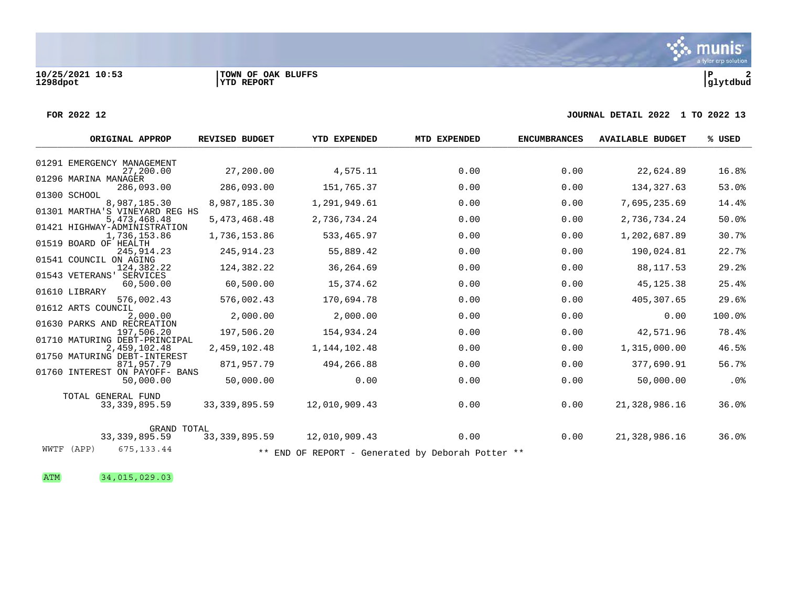### **FOR 2022 12 JOURNAL DETAIL 2022 1 TO 2022 13**

| ORIGINAL APPROP                                | <b>REVISED BUDGET</b> | YTD EXPENDED                                      | MTD EXPENDED | <b>ENCUMBRANCES</b> | <b>AVAILABLE BUDGET</b> | % USED |
|------------------------------------------------|-----------------------|---------------------------------------------------|--------------|---------------------|-------------------------|--------|
|                                                |                       |                                                   |              |                     |                         |        |
| 01291 EMERGENCY MANAGEMENT<br>27,200.00        | 27,200.00             | 4,575.11                                          | 0.00         | 0.00                | 22,624.89               | 16.8%  |
| 01296 MARINA MANAGER<br>286,093.00             | 286,093.00            | 151,765.37                                        | 0.00         | 0.00                | 134, 327.63             | 53.0%  |
| 01300 SCHOOL                                   |                       |                                                   |              |                     |                         |        |
| 8,987,185.30                                   | 8,987,185.30          | 1,291,949.61                                      | 0.00         | 0.00                | 7,695,235.69            | 14.4%  |
| 01301 MARTHA'S VINEYARD REG HS<br>5,473,468.48 | 5,473,468.48          | 2,736,734.24                                      | 0.00         | 0.00                | 2,736,734.24            | 50.0%  |
| 01421 HIGHWAY-ADMINISTRATION<br>1,736,153.86   | 1,736,153.86          | 533,465.97                                        | 0.00         | 0.00                | 1,202,687.89            | 30.7%  |
| 01519 BOARD OF HEALTH                          |                       |                                                   |              |                     |                         |        |
| 245, 914.23<br>01541 COUNCIL ON AGING          | 245, 914.23           | 55,889.42                                         | 0.00         | 0.00                | 190,024.81              | 22.7%  |
| 124,382.22                                     | 124,382.22            | 36,264.69                                         | 0.00         | 0.00                | 88, 117.53              | 29.2%  |
| 01543 VETERANS' SERVICES                       |                       | 15,374.62                                         | 0.00         | 0.00                | 45, 125. 38             | 25.4%  |
| 60,500.00<br>01610 LIBRARY                     | 60,500.00             |                                                   |              |                     |                         |        |
| 576,002.43                                     | 576,002.43            | 170,694.78                                        | 0.00         | 0.00                | 405,307.65              | 29.6%  |
| 01612 ARTS COUNCIL<br>2,000.00                 | 2,000.00              | 2,000.00                                          | 0.00         | 0.00                | 0.00                    | 100.0% |
| 01630 PARKS AND RECREATION                     |                       |                                                   |              |                     |                         |        |
| 197,506.20<br>01710 MATURING DEBT-PRINCIPAL    | 197,506.20            | 154,934.24                                        | 0.00         | 0.00                | 42,571.96               | 78.4%  |
| 2,459,102.48                                   | 2,459,102.48          | 1, 144, 102. 48                                   | 0.00         | 0.00                | 1,315,000.00            | 46.5%  |
| 01750 MATURING DEBT-INTEREST<br>871,957.79     | 871,957.79            | 494,266.88                                        | 0.00         | 0.00                | 377,690.91              | 56.7%  |
| 01760 INTEREST ON PAYOFF- BANS                 |                       |                                                   |              |                     |                         |        |
| 50,000.00                                      | 50,000.00             | 0.00                                              | 0.00         | 0.00                | 50,000.00               | .0%    |
| TOTAL GENERAL FUND                             |                       |                                                   |              |                     |                         |        |
| 33, 339, 895.59                                | 33, 339, 895.59       | 12,010,909.43                                     | 0.00         | 0.00                | 21,328,986.16           | 36.0%  |
|                                                |                       |                                                   |              |                     |                         |        |
| GRAND TOTAL<br>33, 339, 895.59                 | 33, 339, 895.59       | 12,010,909.43                                     | 0.00         | 0.00                | 21,328,986.16           | 36.0%  |
| 675, 133.44<br>WWTF (APP)                      |                       | ** END OF REPORT - Generated by Deborah Potter ** |              |                     |                         |        |

ATM 34,015,029.03

a tyler erp solution

**\*** munis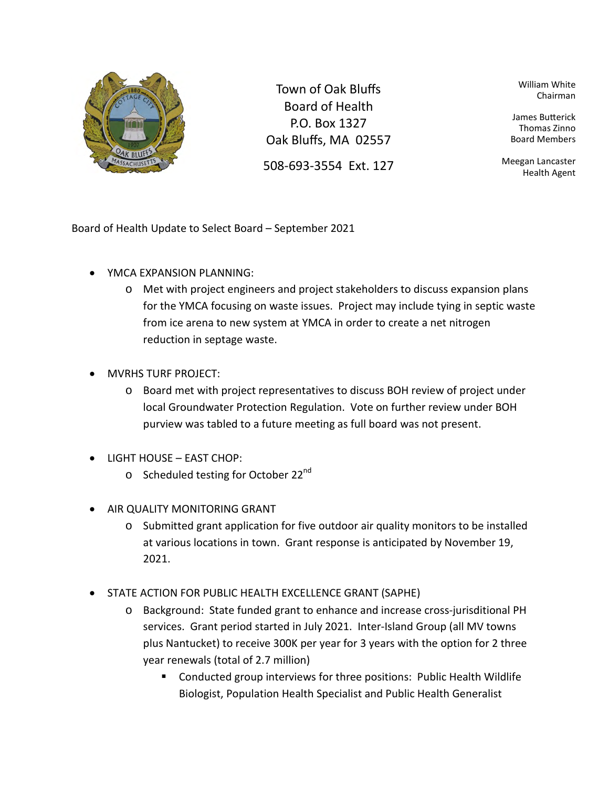

Town of Oak Bluffs Board of Health P.O. Box 1327 Oak Bluffs, MA 02557

508-693-3554 Ext. 127

William White Chairman

James Butterick Thomas Zinno Board Members

Meegan Lancaster Health Agent

Board of Health Update to Select Board – September 2021

- YMCA EXPANSION PLANNING:
	- o Met with project engineers and project stakeholders to discuss expansion plans for the YMCA focusing on waste issues. Project may include tying in septic waste from ice arena to new system at YMCA in order to create a net nitrogen reduction in septage waste.
- MVRHS TURF PROJECT:
	- o Board met with project representatives to discuss BOH review of project under local Groundwater Protection Regulation. Vote on further review under BOH purview was tabled to a future meeting as full board was not present.
- LIGHT HOUSE EAST CHOP:
	- $\circ$  Scheduled testing for October 22<sup>nd</sup>
- AIR QUALITY MONITORING GRANT
	- $\circ$  Submitted grant application for five outdoor air quality monitors to be installed at various locations in town. Grant response is anticipated by November 19, 2021.
- STATE ACTION FOR PUBLIC HEALTH EXCELLENCE GRANT (SAPHE)
	- o Background: State funded grant to enhance and increase cross-jurisditional PH services. Grant period started in July 2021. Inter-Island Group (all MV towns plus Nantucket) to receive 300K per year for 3 years with the option for 2 three year renewals (total of 2.7 million)
		- Conducted group interviews for three positions: Public Health Wildlife Biologist, Population Health Specialist and Public Health Generalist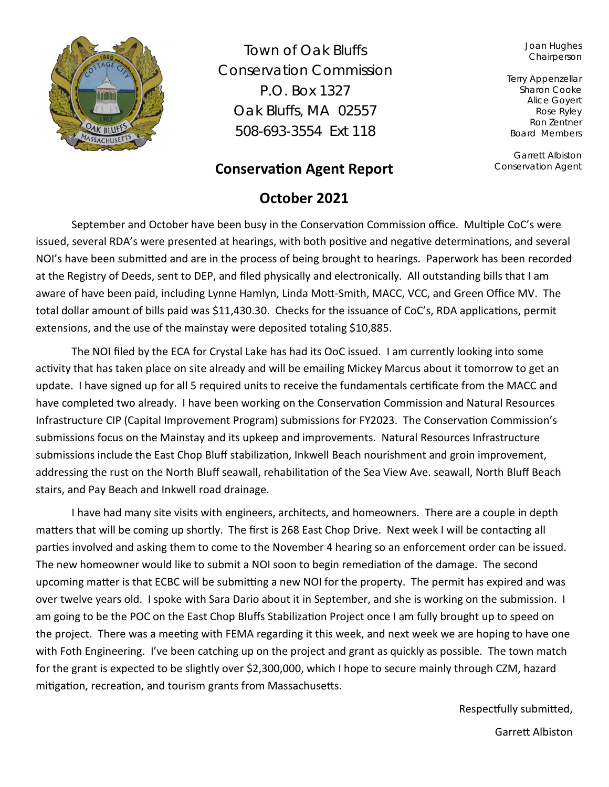

Town of Oak Bluffs Conservation Commission P.O. Box 1327 Oak Bluffs, MA 02557 508-693-3554 Ext 118

# **Conservation Agent Report**

# **October 2021**

Joan Hughes **Chairperson** 

Terry Appenzellar Sharon Cooke Alice Goyert Rose Ryley Ron Zentner Board Members

Garrett Albiston Conservation Agent

September and October have been busy in the Conservation Commission office. Multiple CoC's were issued, several RDA's were presented at hearings, with both positive and negative determinations, and several NOI's have been submitted and are in the process of being brought to hearings. Paperwork has been recorded at the Registry of Deeds, sent to DEP, and filed physically and electronically. All outstanding bills that I am aware of have been paid, including Lynne Hamlyn, Linda Mott-Smith, MACC, VCC, and Green Office MV. The total dollar amount of bills paid was \$11,430.30. Checks for the issuance of CoC's, RDA applications, permit extensions, and the use of the mainstay were deposited totaling \$10,885.

The NOI filed by the ECA for Crystal Lake has had its OoC issued. I am currently looking into some activity that has taken place on site already and will be emailing Mickey Marcus about it tomorrow to get an update. I have signed up for all 5 required units to receive the fundamentals certificate from the MACC and have completed two already. I have been working on the Conservation Commission and Natural Resources Infrastructure CIP (Capital Improvement Program) submissions for FY2023. The Conservation Commission's submissions focus on the Mainstay and its upkeep and improvements. Natural Resources Infrastructure submissions include the East Chop Bluff stabilization, Inkwell Beach nourishment and groin improvement, addressing the rust on the North Bluff seawall, rehabilitation of the Sea View Ave. seawall, North Bluff Beach stairs, and Pay Beach and Inkwell road drainage.

I have had many site visits with engineers, architects, and homeowners. There are a couple in depth matters that will be coming up shortly. The first is 268 East Chop Drive. Next week I will be contacting all parties involved and asking them to come to the November 4 hearing so an enforcement order can be issued. The new homeowner would like to submit a NOI soon to begin remediation of the damage. The second upcoming matter is that ECBC will be submitting a new NOI for the property. The permit has expired and was over twelve years old. I spoke with Sara Dario about it in September, and she is working on the submission. I am going to be the POC on the East Chop Bluffs Stabilization Project once I am fully brought up to speed on the project. There was a meeting with FEMA regarding it this week, and next week we are hoping to have one with Foth Engineering. I've been catching up on the project and grant as quickly as possible. The town match for the grant is expected to be slightly over \$2,300,000, which I hope to secure mainly through CZM, hazard mitigation, recreation, and tourism grants from Massachusetts.

> Respectfully submitted, Garrett Albiston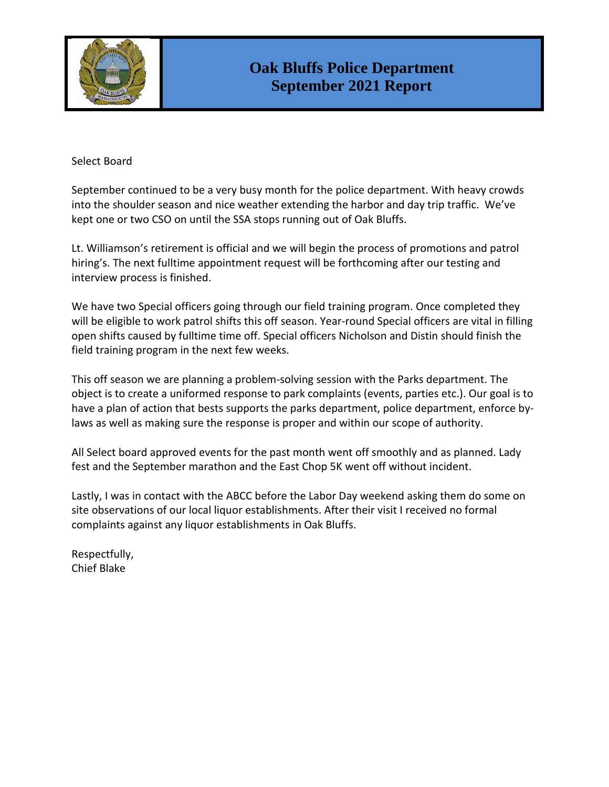

### Select Board

September continued to be a very busy month for the police department. With heavy crowds into the shoulder season and nice weather extending the harbor and day trip traffic. We've kept one or two CSO on until the SSA stops running out of Oak Bluffs.

Lt. Williamson's retirement is official and we will begin the process of promotions and patrol hiring's. The next fulltime appointment request will be forthcoming after our testing and interview process is finished.

We have two Special officers going through our field training program. Once completed they will be eligible to work patrol shifts this off season. Year-round Special officers are vital in filling open shifts caused by fulltime time off. Special officers Nicholson and Distin should finish the field training program in the next few weeks.

This off season we are planning a problem-solving session with the Parks department. The object is to create a uniformed response to park complaints (events, parties etc.). Our goal is to have a plan of action that bests supports the parks department, police department, enforce bylaws as well as making sure the response is proper and within our scope of authority.

All Select board approved events for the past month went off smoothly and as planned. Lady fest and the September marathon and the East Chop 5K went off without incident.

Lastly, I was in contact with the ABCC before the Labor Day weekend asking them do some on site observations of our local liquor establishments. After their visit I received no formal complaints against any liquor establishments in Oak Bluffs.

Respectfully, Chief Blake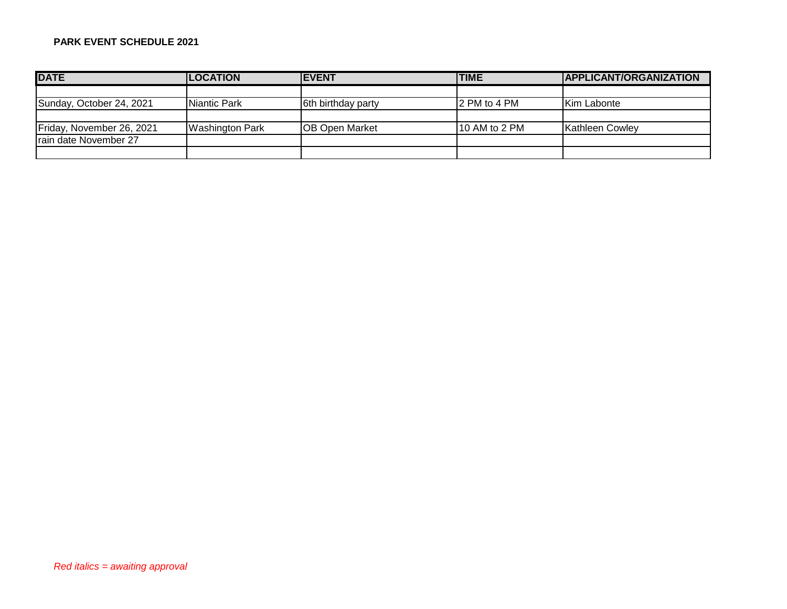### **PARK EVENT SCHEDULE 2021**

| <b>DATE</b>               | <b>LOCATION</b>      | <b>EVENT</b>           | <b>TIME</b>   | APPLICANT/ORGANIZATION |
|---------------------------|----------------------|------------------------|---------------|------------------------|
|                           |                      |                        |               |                        |
| Sunday, October 24, 2021  | <b>INiantic Park</b> | 6th birthday party     | 2 PM to 4 PM  | <b>Kim Labonte</b>     |
|                           |                      |                        |               |                        |
| Friday, November 26, 2021 | Washington Park      | <b>IOB Open Market</b> | 10 AM to 2 PM | Kathleen Cowley        |
| Irain date November 27    |                      |                        |               |                        |
|                           |                      |                        |               |                        |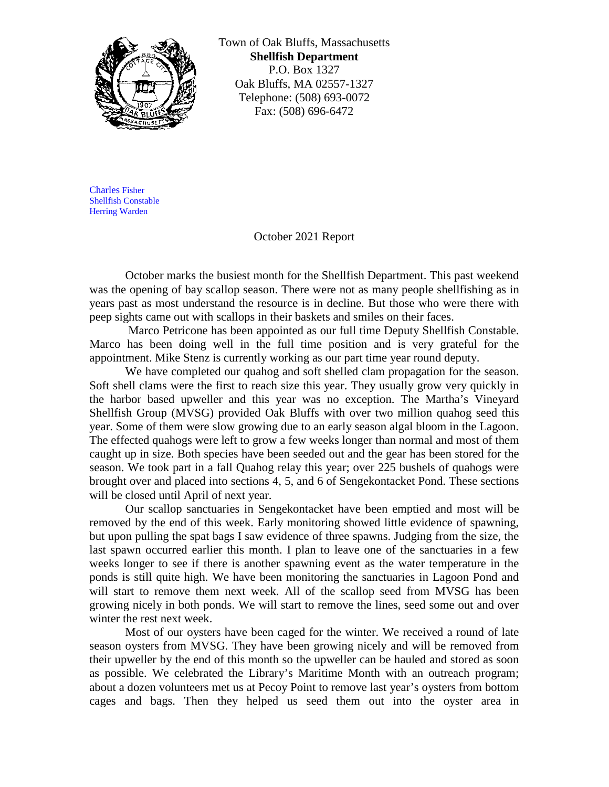

Town of Oak Bluffs, Massachusetts **Shellfish Department** P.O. Box 1327 Oak Bluffs, MA 02557-1327 Telephone: (508) 693-0072 Fax: (508) 696-6472

Charles Fisher Shellfish Constable Herring Warden

### October 2021 Report

October marks the busiest month for the Shellfish Department. This past weekend was the opening of bay scallop season. There were not as many people shellfishing as in years past as most understand the resource is in decline. But those who were there with peep sights came out with scallops in their baskets and smiles on their faces.

Marco Petricone has been appointed as our full time Deputy Shellfish Constable. Marco has been doing well in the full time position and is very grateful for the appointment. Mike Stenz is currently working as our part time year round deputy.

We have completed our quahog and soft shelled clam propagation for the season. Soft shell clams were the first to reach size this year. They usually grow very quickly in the harbor based upweller and this year was no exception. The Martha's Vineyard Shellfish Group (MVSG) provided Oak Bluffs with over two million quahog seed this year. Some of them were slow growing due to an early season algal bloom in the Lagoon. The effected quahogs were left to grow a few weeks longer than normal and most of them caught up in size. Both species have been seeded out and the gear has been stored for the season. We took part in a fall Quahog relay this year; over 225 bushels of quahogs were brought over and placed into sections 4, 5, and 6 of Sengekontacket Pond. These sections will be closed until April of next year.

Our scallop sanctuaries in Sengekontacket have been emptied and most will be removed by the end of this week. Early monitoring showed little evidence of spawning, but upon pulling the spat bags I saw evidence of three spawns. Judging from the size, the last spawn occurred earlier this month. I plan to leave one of the sanctuaries in a few weeks longer to see if there is another spawning event as the water temperature in the ponds is still quite high. We have been monitoring the sanctuaries in Lagoon Pond and will start to remove them next week. All of the scallop seed from MVSG has been growing nicely in both ponds. We will start to remove the lines, seed some out and over winter the rest next week.

Most of our oysters have been caged for the winter. We received a round of late season oysters from MVSG. They have been growing nicely and will be removed from their upweller by the end of this month so the upweller can be hauled and stored as soon as possible. We celebrated the Library's Maritime Month with an outreach program; about a dozen volunteers met us at Pecoy Point to remove last year's oysters from bottom cages and bags. Then they helped us seed them out into the oyster area in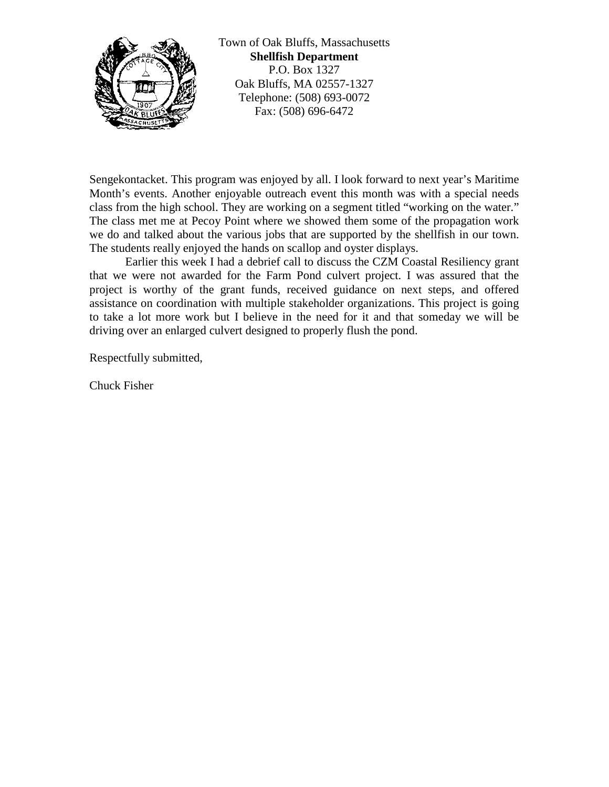

Town of Oak Bluffs, Massachusetts **Shellfish Department** P.O. Box 1327 Oak Bluffs, MA 02557-1327 Telephone: (508) 693-0072 Fax: (508) 696-6472

Sengekontacket. This program was enjoyed by all. I look forward to next year's Maritime Month's events. Another enjoyable outreach event this month was with a special needs class from the high school. They are working on a segment titled "working on the water." The class met me at Pecoy Point where we showed them some of the propagation work we do and talked about the various jobs that are supported by the shellfish in our town. The students really enjoyed the hands on scallop and oyster displays.

Earlier this week I had a debrief call to discuss the CZM Coastal Resiliency grant that we were not awarded for the Farm Pond culvert project. I was assured that the project is worthy of the grant funds, received guidance on next steps, and offered assistance on coordination with multiple stakeholder organizations. This project is going to take a lot more work but I believe in the need for it and that someday we will be driving over an enlarged culvert designed to properly flush the pond.

Respectfully submitted,

Chuck Fisher